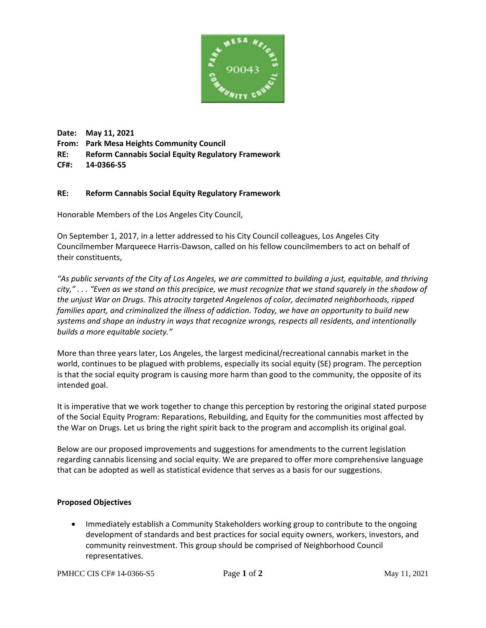

**Date: May 11, 2021 From: Park Mesa Heights Community Council RE: Reform Cannabis Social Equity Regulatory Framework CF#: 14-0366-S5** 

## **RE: Reform Cannabis Social Equity Regulatory Framework**

Honorable Members of the Los Angeles City Council,

On September 1, 2017, in a letter addressed to his City Council colleagues, Los Angeles City Councilmember Marqueece Harris-Dawson, called on his fellow councilmembers to act on behalf of their constituents,

*"As public servants of the City of Los Angeles, we are committed to building a just, equitable, and thriving city," . . . "Even as we stand on this precipice, we must recognize that we stand squarely in the shadow of the unjust War on Drugs. This atrocity targeted Angelenos of color, decimated neighborhoods, ripped families apart, and criminalized the illness of addiction. Today, we have an opportunity to build new systems and shape an industry in ways that recognize wrongs, respects all residents, and intentionally builds a more equitable society."*

More than three years later, Los Angeles, the largest medicinal/recreational cannabis market in the world, continues to be plagued with problems, especially its social equity (SE) program. The perception is that the social equity program is causing more harm than good to the community, the opposite of its intended goal.

It is imperative that we work together to change this perception by restoring the original stated purpose of the Social Equity Program: Reparations, Rebuilding, and Equity for the communities most affected by the War on Drugs. Let us bring the right spirit back to the program and accomplish its original goal.

Below are our proposed improvements and suggestions for amendments to the current legislation regarding cannabis licensing and social equity. We are prepared to offer more comprehensive language that can be adopted as well as statistical evidence that serves as a basis for our suggestions.

## **Proposed Objectives**

• Immediately establish a Community Stakeholders working group to contribute to the ongoing development of standards and best practices for social equity owners, workers, investors, and community reinvestment. This group should be comprised of Neighborhood Council representatives.